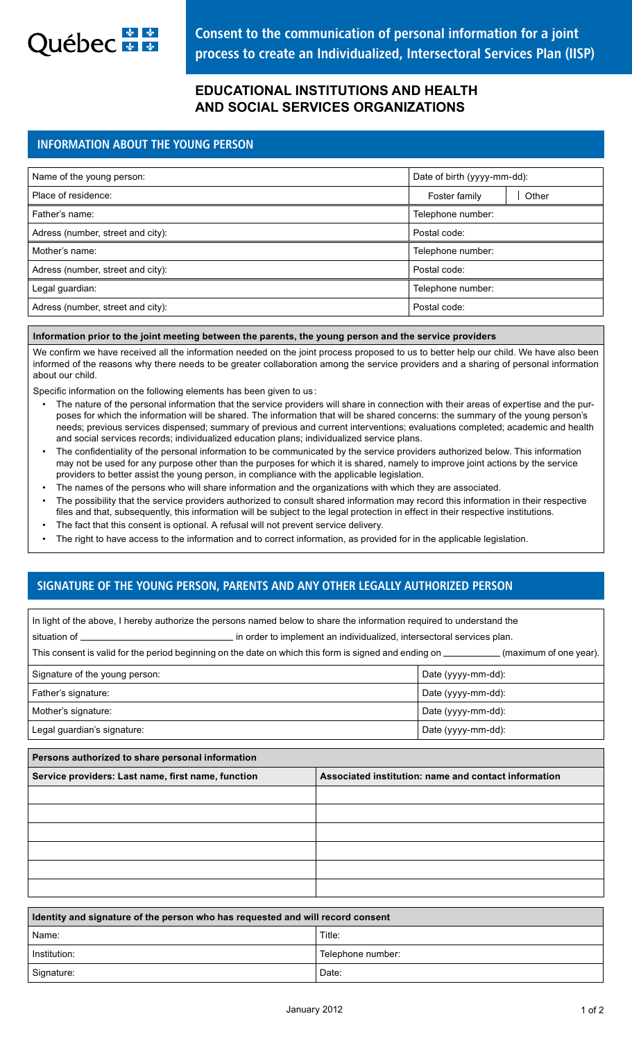

# **EDUCATIONAL INSTITUTIONS AND HEALTH AND SOCIAL SERVICES ORGANIZATIONS**

## INFORMATION ABOUT THE YOUNG PERSON

| Name of the young person:         | Date of birth (yyyy-mm-dd): |       |
|-----------------------------------|-----------------------------|-------|
| Place of residence:               | Foster family               | Other |
| Father's name:                    | Telephone number:           |       |
| Adress (number, street and city): | Postal code:                |       |
| Mother's name:                    | Telephone number:           |       |
| Adress (number, street and city): | Postal code:                |       |
| Legal guardian:                   | Telephone number:           |       |
| Adress (number, street and city): | Postal code:                |       |
|                                   |                             |       |

## **Information prior to the joint meeting between the parents, the young person and the service providers**

We confirm we have received all the information needed on the joint process proposed to us to better help our child. We have also been informed of the reasons why there needs to be greater collaboration among the service providers and a sharing of personal information about our child.

Specific information on the following elements has been given to us :

- The nature of the personal information that the service providers will share in connection with their areas of expertise and the purposes for which the information will be shared. The information that will be shared concerns: the summary of the young person's needs; previous services dispensed; summary of previous and current interventions; evaluations completed; academic and health and social services records; individualized education plans; individualized service plans.
- The confidentiality of the personal information to be communicated by the service providers authorized below. This information may not be used for any purpose other than the purposes for which it is shared, namely to improve joint actions by the service providers to better assist the young person, in compliance with the applicable legislation.
- The names of the persons who will share information and the organizations with which they are associated.
- The possibility that the service providers authorized to consult shared information may record this information in their respective files and that, subsequently, this information will be subject to the legal protection in effect in their respective institutions.
- The fact that this consent is optional. A refusal will not prevent service delivery.
- The right to have access to the information and to correct information, as provided for in the applicable legislation.

## SIGNATURE OF THE YOUNG PERSON, PARENTS AND ANY OTHER LEGALLY AUTHORIZED PERSON

| In light of the above, I hereby authorize the persons named below to share the information required to understand the |                                                                                                                                           |  |  |
|-----------------------------------------------------------------------------------------------------------------------|-------------------------------------------------------------------------------------------------------------------------------------------|--|--|
|                                                                                                                       |                                                                                                                                           |  |  |
|                                                                                                                       | This consent is valid for the period beginning on the date on which this form is signed and ending on _____________(maximum of one year). |  |  |
| Signature of the young person:                                                                                        | Date (yyyy-mm-dd):                                                                                                                        |  |  |
| Father's signature:                                                                                                   | Date (yyyy-mm-dd):                                                                                                                        |  |  |
| Mother's signature:                                                                                                   | Date (yyyy-mm-dd):                                                                                                                        |  |  |
| Legal guardian's signature:                                                                                           | Date (yyyy-mm-dd):                                                                                                                        |  |  |
| Persons authorized to share personal information                                                                      |                                                                                                                                           |  |  |
| Service providers: Last name, first name, function                                                                    | Associated institution: name and contact information                                                                                      |  |  |
|                                                                                                                       |                                                                                                                                           |  |  |
|                                                                                                                       |                                                                                                                                           |  |  |
|                                                                                                                       |                                                                                                                                           |  |  |
|                                                                                                                       |                                                                                                                                           |  |  |

| I dentity and signature of the person who has requested and will record consent |                   |  |
|---------------------------------------------------------------------------------|-------------------|--|
| l Name:                                                                         | Title:            |  |
| ∣ Institution:                                                                  | Telephone number: |  |
| Signature:                                                                      | Date:             |  |